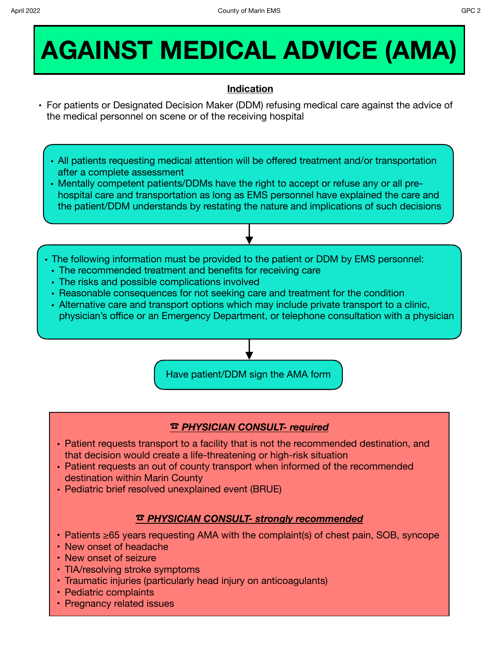# **AGAINST MEDICAL ADVICE (AMA)**

## **Indication**

- **•** For patients or Designated Decision Maker (DDM) refusing medical care against the advice of the medical personnel on scene or of the receiving hospital
	- All patients requesting medical attention will be offered treatment and/or transportation after a complete assessment
	- Mentally competent patients/DDMs have the right to accept or refuse any or all prehospital care and transportation as long as EMS personnel have explained the care and the patient/DDM understands by restating the nature and implications of such decisions
	- The following information must be provided to the patient or DDM by EMS personnel:
		- The recommended treatment and benefits for receiving care
		- The risks and possible complications involved
		- Reasonable consequences for not seeking care and treatment for the condition
		- Alternative care and transport options which may include private transport to a clinic, physician's office or an Emergency Department, or telephone consultation with a physician



### ☎︎ *PHYSICIAN CONSULT- required*

- Patient requests transport to a facility that is not the recommended destination, and that decision would create a life-threatening or high-risk situation
- Patient requests an out of county transport when informed of the recommended destination within Marin County
- Pediatric brief resolved unexplained event (BRUE)

### ☎︎ *PHYSICIAN CONSULT- strongly recommended*

- Patients ≥65 years requesting AMA with the complaint(s) of chest pain, SOB, syncope
- New onset of headache
- New onset of seizure
- TIA/resolving stroke symptoms
- Traumatic injuries (particularly head injury on anticoagulants)
- Pediatric complaints
- Pregnancy related issues